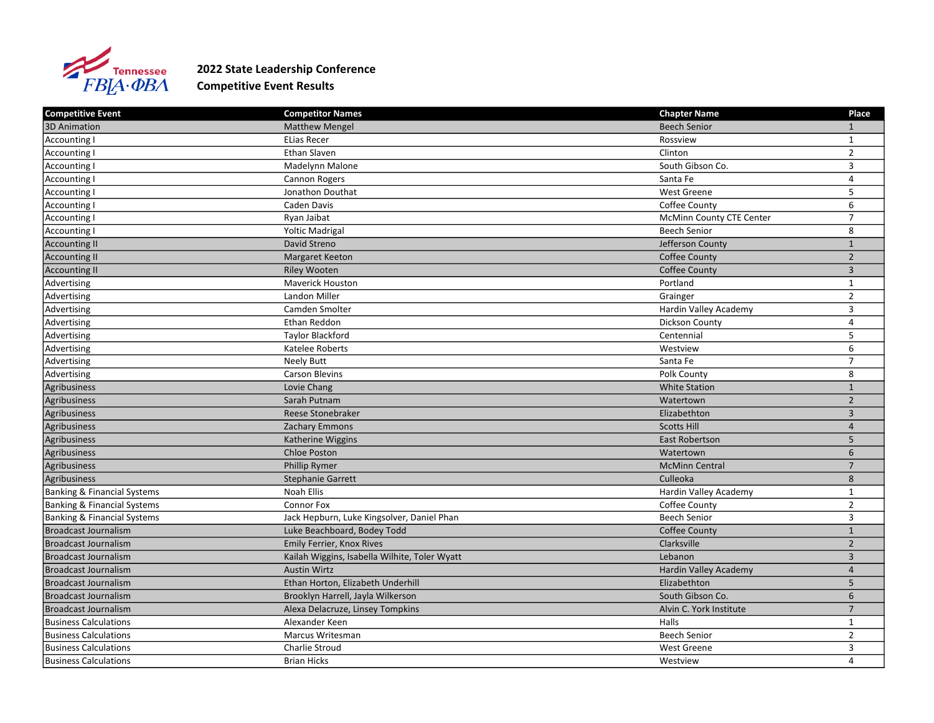

## 2022 State Leadership Conference Competitive Event Results

| Competitive Event                      | <b>Competitor Names</b>                       | <b>Chapter Name</b>             | Place          |
|----------------------------------------|-----------------------------------------------|---------------------------------|----------------|
| 3D Animation                           | <b>Matthew Mengel</b>                         | <b>Beech Senior</b>             |                |
| Accounting I                           | <b>ELias Recer</b>                            | Rossview                        | $\mathbf{1}$   |
| Accounting I                           | Ethan Slaven                                  | Clinton                         | $\overline{2}$ |
| Accounting I                           | Madelynn Malone                               | South Gibson Co.                | 3              |
| Accounting I                           | Cannon Rogers                                 | Santa Fe                        | $\overline{4}$ |
| Accounting I                           | Jonathon Douthat                              | West Greene                     | 5              |
| <b>Accounting I</b>                    | Caden Davis                                   | Coffee County                   | 6              |
| Accounting I                           | Ryan Jaibat                                   | <b>McMinn County CTE Center</b> | $\overline{7}$ |
| Accounting I                           | <b>Yoltic Madrigal</b>                        | <b>Beech Senior</b>             | 8              |
| Accounting II                          | David Streno                                  | Jefferson County                | $\mathbf{1}$   |
| <b>Accounting II</b>                   | <b>Margaret Keeton</b>                        | Coffee County                   | $\overline{2}$ |
| <b>Accounting II</b>                   | <b>Riley Wooten</b>                           | <b>Coffee County</b>            | $\overline{3}$ |
| Advertising                            | <b>Maverick Houston</b>                       | Portland                        | $\mathbf{1}$   |
| Advertising                            | <b>Landon Miller</b>                          | Grainger                        | $\overline{2}$ |
| Advertising                            | Camden Smolter                                | Hardin Valley Academy           | 3              |
| Advertising                            | Ethan Reddon                                  | Dickson County                  | $\overline{4}$ |
| Advertising                            | Taylor Blackford                              | Centennial                      | 5              |
| Advertising                            | Katelee Roberts                               | Westview                        | 6              |
| Advertising                            | <b>Neely Butt</b>                             | Santa Fe                        | $\overline{7}$ |
| Advertising                            | <b>Carson Blevins</b>                         | Polk County                     | 8              |
| Agribusiness                           | Lovie Chang                                   | <b>White Station</b>            | $\mathbf{1}$   |
| Agribusiness                           | Sarah Putnam                                  | Watertown                       | $\overline{2}$ |
| Agribusiness                           | Reese Stonebraker                             | Elizabethton                    | 3              |
| Agribusiness                           | <b>Zachary Emmons</b>                         | <b>Scotts Hill</b>              | $\overline{4}$ |
| Agribusiness                           | Katherine Wiggins                             | East Robertson                  | 5              |
| Agribusiness                           | Chloe Poston                                  | Watertown                       | 6              |
| Agribusiness                           | Phillip Rymer                                 | <b>McMinn Central</b>           | $\overline{7}$ |
| Agribusiness                           | <b>Stephanie Garrett</b>                      | Culleoka                        | $\bf 8$        |
| <b>Banking &amp; Financial Systems</b> | Noah Ellis                                    | Hardin Valley Academy           | $\mathbf{1}$   |
| <b>Banking &amp; Financial Systems</b> | Connor Fox                                    | Coffee County                   | $\overline{2}$ |
| <b>Banking &amp; Financial Systems</b> | Jack Hepburn, Luke Kingsolver, Daniel Phan    | <b>Beech Senior</b>             | 3              |
| <b>Broadcast Journalism</b>            | Luke Beachboard, Bodey Todd                   | <b>Coffee County</b>            | $\mathbf{1}$   |
| <b>Broadcast Journalism</b>            | Emily Ferrier, Knox Rives                     | Clarksville                     | $\overline{2}$ |
| Broadcast Journalism                   | Kailah Wiggins, Isabella Wilhite, Toler Wyatt | Lebanon                         | $\overline{3}$ |
| <b>Broadcast Journalism</b>            | <b>Austin Wirtz</b>                           | Hardin Valley Academy           | $\overline{4}$ |
| Broadcast Journalism                   | Ethan Horton, Elizabeth Underhill             | Elizabethton                    | 5              |
| <b>Broadcast Journalism</b>            | Brooklyn Harrell, Jayla Wilkerson             | South Gibson Co.                | 6              |
| <b>Broadcast Journalism</b>            | Alexa Delacruze, Linsey Tompkins              | Alvin C. York Institute         | $\overline{7}$ |
| <b>Business Calculations</b>           | Alexander Keen                                | Halls                           | $\mathbf{1}$   |
| Business Calculations                  | Marcus Writesman                              | <b>Beech Senior</b>             | $\overline{2}$ |
| <b>Business Calculations</b>           | Charlie Stroud                                | West Greene                     | 3              |
| <b>Business Calculations</b>           | <b>Brian Hicks</b>                            | Westview                        | 4              |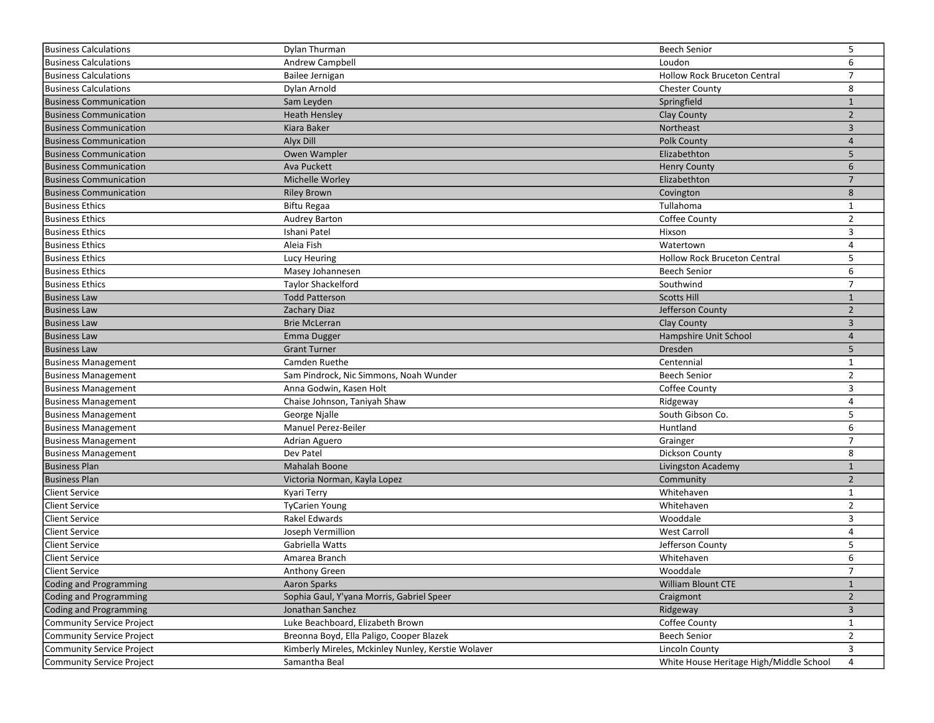| 6<br>Business Calculations<br>Andrew Campbell<br>Loudon<br>$\overline{7}$<br>Business Calculations<br><b>Hollow Rock Bruceton Central</b><br>Bailee Jernigan<br>8<br>Dylan Arnold<br><b>Chester County</b><br>Business Calculations<br><b>Business Communication</b><br>Springfield<br>Sam Leyden<br>$\mathbf{1}$<br><b>Business Communication</b><br><b>Clay County</b><br>$\overline{2}$<br><b>Heath Hensley</b><br>3<br><b>Business Communication</b><br>Kiara Baker<br>Northeast<br>Alyx Dill<br>Polk County<br>$\overline{4}$<br><b>Business Communication</b><br>5<br><b>Business Communication</b><br>Elizabethton<br>Owen Wampler<br><b>Business Communication</b><br>6<br>Ava Puckett<br><b>Henry County</b><br>$\overline{7}$<br><b>Business Communication</b><br>Michelle Worley<br>Elizabethton<br><b>Business Communication</b><br><b>Riley Brown</b><br>8<br>Covington<br>Tullahoma<br>Business Ethics<br>Biftu Regaa<br>1<br>$\overline{2}$<br><b>Business Ethics</b><br>Audrey Barton<br>Coffee County<br>3<br><b>Business Ethics</b><br>Ishani Patel<br>Hixson<br>4<br><b>Business Ethics</b><br>Aleia Fish<br>Watertown<br>5<br><b>Business Ethics</b><br><b>Hollow Rock Bruceton Central</b><br>Lucy Heuring<br><b>Business Ethics</b><br>6<br>Masey Johannesen<br><b>Beech Senior</b><br>$\overline{7}$<br><b>Business Ethics</b><br>Taylor Shackelford<br>Southwind<br><b>Todd Patterson</b><br><b>Scotts Hill</b><br>Business Law<br>$\mathbf{1}$<br>$\overline{2}$<br><b>Business Law</b><br>Zachary Diaz<br>Jefferson County<br>3<br><b>Business Law</b><br><b>Brie McLerran</b><br><b>Clay County</b><br><b>Business Law</b><br>Hampshire Unit School<br>$\overline{4}$<br>Emma Dugger<br>5<br><b>Business Law</b><br>Dresden<br><b>Grant Turner</b><br><b>Business Management</b><br>Camden Ruethe<br>Centennial<br>1<br>$\overline{2}$<br><b>Business Management</b><br>Sam Pindrock, Nic Simmons, Noah Wunder<br><b>Beech Senior</b><br>3<br><b>Business Management</b><br>Anna Godwin, Kasen Holt<br>Coffee County<br>4<br><b>Business Management</b><br>Chaise Johnson, Taniyah Shaw<br>Ridgeway<br>5<br>Business Management<br>South Gibson Co.<br>George Njalle<br>Manuel Perez-Beiler<br>Huntland<br>6<br><b>Business Management</b><br>$\overline{7}$<br>Business Management<br>Adrian Aguero<br>Grainger<br>8<br>Dev Patel<br><b>Business Management</b><br>Dickson County<br><b>Business Plan</b><br>$1\,$<br>Mahalah Boone<br>Livingston Academy<br>$\overline{2}$<br><b>Business Plan</b><br>Community<br>Victoria Norman, Kayla Lopez<br>Client Service<br>Whitehaven<br>$\mathbf{1}$<br>Kyari Terry<br>$\overline{2}$<br>Client Service<br>Whitehaven<br><b>TyCarien Young</b><br><b>Client Service</b><br>Rakel Edwards<br>Wooddale<br>3<br>4<br>Client Service<br>Joseph Vermillion<br><b>West Carroll</b><br>5<br><b>Client Service</b><br>Gabriella Watts<br>Jefferson County<br>6<br>Client Service<br>Whitehaven<br>Amarea Branch<br>Client Service<br>$\overline{7}$<br>Wooddale<br>Anthony Green<br>$\mathbf{1}$<br>Coding and Programming<br><b>William Blount CTE</b><br>Aaron Sparks<br>Coding and Programming<br>Sophia Gaul, Y'yana Morris, Gabriel Speer<br>Craigmont<br>$\overline{2}$<br>Coding and Programming<br>Jonathan Sanchez<br>Ridgeway<br>3<br>Community Service Project<br>Luke Beachboard, Elizabeth Brown<br>Coffee County<br>1<br>$\overline{2}$<br>Community Service Project<br>Breonna Boyd, Ella Paligo, Cooper Blazek<br><b>Beech Senior</b><br>3<br><b>Lincoln County</b><br>Community Service Project<br>Kimberly Mireles, Mckinley Nunley, Kerstie Wolaver<br>Community Service Project<br>White House Heritage High/Middle School<br>Samantha Beal<br>4 | <b>Business Calculations</b> | Dylan Thurman | <b>Beech Senior</b> | 5 |
|--------------------------------------------------------------------------------------------------------------------------------------------------------------------------------------------------------------------------------------------------------------------------------------------------------------------------------------------------------------------------------------------------------------------------------------------------------------------------------------------------------------------------------------------------------------------------------------------------------------------------------------------------------------------------------------------------------------------------------------------------------------------------------------------------------------------------------------------------------------------------------------------------------------------------------------------------------------------------------------------------------------------------------------------------------------------------------------------------------------------------------------------------------------------------------------------------------------------------------------------------------------------------------------------------------------------------------------------------------------------------------------------------------------------------------------------------------------------------------------------------------------------------------------------------------------------------------------------------------------------------------------------------------------------------------------------------------------------------------------------------------------------------------------------------------------------------------------------------------------------------------------------------------------------------------------------------------------------------------------------------------------------------------------------------------------------------------------------------------------------------------------------------------------------------------------------------------------------------------------------------------------------------------------------------------------------------------------------------------------------------------------------------------------------------------------------------------------------------------------------------------------------------------------------------------------------------------------------------------------------------------------------------------------------------------------------------------------------------------------------------------------------------------------------------------------------------------------------------------------------------------------------------------------------------------------------------------------------------------------------------------------------------------------------------------------------------------------------------------------------------------------------------------------------------------------------------------------------------------------------------------------------------------------------------------------------------------------------------------------------------------------------------------------------------------------------------------------------------------------------------------------------------------------------------------------------------------------------------------------------------------------------------------------------------------------------------------------------------------------|------------------------------|---------------|---------------------|---|
|                                                                                                                                                                                                                                                                                                                                                                                                                                                                                                                                                                                                                                                                                                                                                                                                                                                                                                                                                                                                                                                                                                                                                                                                                                                                                                                                                                                                                                                                                                                                                                                                                                                                                                                                                                                                                                                                                                                                                                                                                                                                                                                                                                                                                                                                                                                                                                                                                                                                                                                                                                                                                                                                                                                                                                                                                                                                                                                                                                                                                                                                                                                                                                                                                                                                                                                                                                                                                                                                                                                                                                                                                                                                                                                                      |                              |               |                     |   |
|                                                                                                                                                                                                                                                                                                                                                                                                                                                                                                                                                                                                                                                                                                                                                                                                                                                                                                                                                                                                                                                                                                                                                                                                                                                                                                                                                                                                                                                                                                                                                                                                                                                                                                                                                                                                                                                                                                                                                                                                                                                                                                                                                                                                                                                                                                                                                                                                                                                                                                                                                                                                                                                                                                                                                                                                                                                                                                                                                                                                                                                                                                                                                                                                                                                                                                                                                                                                                                                                                                                                                                                                                                                                                                                                      |                              |               |                     |   |
|                                                                                                                                                                                                                                                                                                                                                                                                                                                                                                                                                                                                                                                                                                                                                                                                                                                                                                                                                                                                                                                                                                                                                                                                                                                                                                                                                                                                                                                                                                                                                                                                                                                                                                                                                                                                                                                                                                                                                                                                                                                                                                                                                                                                                                                                                                                                                                                                                                                                                                                                                                                                                                                                                                                                                                                                                                                                                                                                                                                                                                                                                                                                                                                                                                                                                                                                                                                                                                                                                                                                                                                                                                                                                                                                      |                              |               |                     |   |
|                                                                                                                                                                                                                                                                                                                                                                                                                                                                                                                                                                                                                                                                                                                                                                                                                                                                                                                                                                                                                                                                                                                                                                                                                                                                                                                                                                                                                                                                                                                                                                                                                                                                                                                                                                                                                                                                                                                                                                                                                                                                                                                                                                                                                                                                                                                                                                                                                                                                                                                                                                                                                                                                                                                                                                                                                                                                                                                                                                                                                                                                                                                                                                                                                                                                                                                                                                                                                                                                                                                                                                                                                                                                                                                                      |                              |               |                     |   |
|                                                                                                                                                                                                                                                                                                                                                                                                                                                                                                                                                                                                                                                                                                                                                                                                                                                                                                                                                                                                                                                                                                                                                                                                                                                                                                                                                                                                                                                                                                                                                                                                                                                                                                                                                                                                                                                                                                                                                                                                                                                                                                                                                                                                                                                                                                                                                                                                                                                                                                                                                                                                                                                                                                                                                                                                                                                                                                                                                                                                                                                                                                                                                                                                                                                                                                                                                                                                                                                                                                                                                                                                                                                                                                                                      |                              |               |                     |   |
|                                                                                                                                                                                                                                                                                                                                                                                                                                                                                                                                                                                                                                                                                                                                                                                                                                                                                                                                                                                                                                                                                                                                                                                                                                                                                                                                                                                                                                                                                                                                                                                                                                                                                                                                                                                                                                                                                                                                                                                                                                                                                                                                                                                                                                                                                                                                                                                                                                                                                                                                                                                                                                                                                                                                                                                                                                                                                                                                                                                                                                                                                                                                                                                                                                                                                                                                                                                                                                                                                                                                                                                                                                                                                                                                      |                              |               |                     |   |
|                                                                                                                                                                                                                                                                                                                                                                                                                                                                                                                                                                                                                                                                                                                                                                                                                                                                                                                                                                                                                                                                                                                                                                                                                                                                                                                                                                                                                                                                                                                                                                                                                                                                                                                                                                                                                                                                                                                                                                                                                                                                                                                                                                                                                                                                                                                                                                                                                                                                                                                                                                                                                                                                                                                                                                                                                                                                                                                                                                                                                                                                                                                                                                                                                                                                                                                                                                                                                                                                                                                                                                                                                                                                                                                                      |                              |               |                     |   |
|                                                                                                                                                                                                                                                                                                                                                                                                                                                                                                                                                                                                                                                                                                                                                                                                                                                                                                                                                                                                                                                                                                                                                                                                                                                                                                                                                                                                                                                                                                                                                                                                                                                                                                                                                                                                                                                                                                                                                                                                                                                                                                                                                                                                                                                                                                                                                                                                                                                                                                                                                                                                                                                                                                                                                                                                                                                                                                                                                                                                                                                                                                                                                                                                                                                                                                                                                                                                                                                                                                                                                                                                                                                                                                                                      |                              |               |                     |   |
|                                                                                                                                                                                                                                                                                                                                                                                                                                                                                                                                                                                                                                                                                                                                                                                                                                                                                                                                                                                                                                                                                                                                                                                                                                                                                                                                                                                                                                                                                                                                                                                                                                                                                                                                                                                                                                                                                                                                                                                                                                                                                                                                                                                                                                                                                                                                                                                                                                                                                                                                                                                                                                                                                                                                                                                                                                                                                                                                                                                                                                                                                                                                                                                                                                                                                                                                                                                                                                                                                                                                                                                                                                                                                                                                      |                              |               |                     |   |
|                                                                                                                                                                                                                                                                                                                                                                                                                                                                                                                                                                                                                                                                                                                                                                                                                                                                                                                                                                                                                                                                                                                                                                                                                                                                                                                                                                                                                                                                                                                                                                                                                                                                                                                                                                                                                                                                                                                                                                                                                                                                                                                                                                                                                                                                                                                                                                                                                                                                                                                                                                                                                                                                                                                                                                                                                                                                                                                                                                                                                                                                                                                                                                                                                                                                                                                                                                                                                                                                                                                                                                                                                                                                                                                                      |                              |               |                     |   |
|                                                                                                                                                                                                                                                                                                                                                                                                                                                                                                                                                                                                                                                                                                                                                                                                                                                                                                                                                                                                                                                                                                                                                                                                                                                                                                                                                                                                                                                                                                                                                                                                                                                                                                                                                                                                                                                                                                                                                                                                                                                                                                                                                                                                                                                                                                                                                                                                                                                                                                                                                                                                                                                                                                                                                                                                                                                                                                                                                                                                                                                                                                                                                                                                                                                                                                                                                                                                                                                                                                                                                                                                                                                                                                                                      |                              |               |                     |   |
|                                                                                                                                                                                                                                                                                                                                                                                                                                                                                                                                                                                                                                                                                                                                                                                                                                                                                                                                                                                                                                                                                                                                                                                                                                                                                                                                                                                                                                                                                                                                                                                                                                                                                                                                                                                                                                                                                                                                                                                                                                                                                                                                                                                                                                                                                                                                                                                                                                                                                                                                                                                                                                                                                                                                                                                                                                                                                                                                                                                                                                                                                                                                                                                                                                                                                                                                                                                                                                                                                                                                                                                                                                                                                                                                      |                              |               |                     |   |
|                                                                                                                                                                                                                                                                                                                                                                                                                                                                                                                                                                                                                                                                                                                                                                                                                                                                                                                                                                                                                                                                                                                                                                                                                                                                                                                                                                                                                                                                                                                                                                                                                                                                                                                                                                                                                                                                                                                                                                                                                                                                                                                                                                                                                                                                                                                                                                                                                                                                                                                                                                                                                                                                                                                                                                                                                                                                                                                                                                                                                                                                                                                                                                                                                                                                                                                                                                                                                                                                                                                                                                                                                                                                                                                                      |                              |               |                     |   |
|                                                                                                                                                                                                                                                                                                                                                                                                                                                                                                                                                                                                                                                                                                                                                                                                                                                                                                                                                                                                                                                                                                                                                                                                                                                                                                                                                                                                                                                                                                                                                                                                                                                                                                                                                                                                                                                                                                                                                                                                                                                                                                                                                                                                                                                                                                                                                                                                                                                                                                                                                                                                                                                                                                                                                                                                                                                                                                                                                                                                                                                                                                                                                                                                                                                                                                                                                                                                                                                                                                                                                                                                                                                                                                                                      |                              |               |                     |   |
|                                                                                                                                                                                                                                                                                                                                                                                                                                                                                                                                                                                                                                                                                                                                                                                                                                                                                                                                                                                                                                                                                                                                                                                                                                                                                                                                                                                                                                                                                                                                                                                                                                                                                                                                                                                                                                                                                                                                                                                                                                                                                                                                                                                                                                                                                                                                                                                                                                                                                                                                                                                                                                                                                                                                                                                                                                                                                                                                                                                                                                                                                                                                                                                                                                                                                                                                                                                                                                                                                                                                                                                                                                                                                                                                      |                              |               |                     |   |
|                                                                                                                                                                                                                                                                                                                                                                                                                                                                                                                                                                                                                                                                                                                                                                                                                                                                                                                                                                                                                                                                                                                                                                                                                                                                                                                                                                                                                                                                                                                                                                                                                                                                                                                                                                                                                                                                                                                                                                                                                                                                                                                                                                                                                                                                                                                                                                                                                                                                                                                                                                                                                                                                                                                                                                                                                                                                                                                                                                                                                                                                                                                                                                                                                                                                                                                                                                                                                                                                                                                                                                                                                                                                                                                                      |                              |               |                     |   |
|                                                                                                                                                                                                                                                                                                                                                                                                                                                                                                                                                                                                                                                                                                                                                                                                                                                                                                                                                                                                                                                                                                                                                                                                                                                                                                                                                                                                                                                                                                                                                                                                                                                                                                                                                                                                                                                                                                                                                                                                                                                                                                                                                                                                                                                                                                                                                                                                                                                                                                                                                                                                                                                                                                                                                                                                                                                                                                                                                                                                                                                                                                                                                                                                                                                                                                                                                                                                                                                                                                                                                                                                                                                                                                                                      |                              |               |                     |   |
|                                                                                                                                                                                                                                                                                                                                                                                                                                                                                                                                                                                                                                                                                                                                                                                                                                                                                                                                                                                                                                                                                                                                                                                                                                                                                                                                                                                                                                                                                                                                                                                                                                                                                                                                                                                                                                                                                                                                                                                                                                                                                                                                                                                                                                                                                                                                                                                                                                                                                                                                                                                                                                                                                                                                                                                                                                                                                                                                                                                                                                                                                                                                                                                                                                                                                                                                                                                                                                                                                                                                                                                                                                                                                                                                      |                              |               |                     |   |
|                                                                                                                                                                                                                                                                                                                                                                                                                                                                                                                                                                                                                                                                                                                                                                                                                                                                                                                                                                                                                                                                                                                                                                                                                                                                                                                                                                                                                                                                                                                                                                                                                                                                                                                                                                                                                                                                                                                                                                                                                                                                                                                                                                                                                                                                                                                                                                                                                                                                                                                                                                                                                                                                                                                                                                                                                                                                                                                                                                                                                                                                                                                                                                                                                                                                                                                                                                                                                                                                                                                                                                                                                                                                                                                                      |                              |               |                     |   |
|                                                                                                                                                                                                                                                                                                                                                                                                                                                                                                                                                                                                                                                                                                                                                                                                                                                                                                                                                                                                                                                                                                                                                                                                                                                                                                                                                                                                                                                                                                                                                                                                                                                                                                                                                                                                                                                                                                                                                                                                                                                                                                                                                                                                                                                                                                                                                                                                                                                                                                                                                                                                                                                                                                                                                                                                                                                                                                                                                                                                                                                                                                                                                                                                                                                                                                                                                                                                                                                                                                                                                                                                                                                                                                                                      |                              |               |                     |   |
|                                                                                                                                                                                                                                                                                                                                                                                                                                                                                                                                                                                                                                                                                                                                                                                                                                                                                                                                                                                                                                                                                                                                                                                                                                                                                                                                                                                                                                                                                                                                                                                                                                                                                                                                                                                                                                                                                                                                                                                                                                                                                                                                                                                                                                                                                                                                                                                                                                                                                                                                                                                                                                                                                                                                                                                                                                                                                                                                                                                                                                                                                                                                                                                                                                                                                                                                                                                                                                                                                                                                                                                                                                                                                                                                      |                              |               |                     |   |
|                                                                                                                                                                                                                                                                                                                                                                                                                                                                                                                                                                                                                                                                                                                                                                                                                                                                                                                                                                                                                                                                                                                                                                                                                                                                                                                                                                                                                                                                                                                                                                                                                                                                                                                                                                                                                                                                                                                                                                                                                                                                                                                                                                                                                                                                                                                                                                                                                                                                                                                                                                                                                                                                                                                                                                                                                                                                                                                                                                                                                                                                                                                                                                                                                                                                                                                                                                                                                                                                                                                                                                                                                                                                                                                                      |                              |               |                     |   |
|                                                                                                                                                                                                                                                                                                                                                                                                                                                                                                                                                                                                                                                                                                                                                                                                                                                                                                                                                                                                                                                                                                                                                                                                                                                                                                                                                                                                                                                                                                                                                                                                                                                                                                                                                                                                                                                                                                                                                                                                                                                                                                                                                                                                                                                                                                                                                                                                                                                                                                                                                                                                                                                                                                                                                                                                                                                                                                                                                                                                                                                                                                                                                                                                                                                                                                                                                                                                                                                                                                                                                                                                                                                                                                                                      |                              |               |                     |   |
|                                                                                                                                                                                                                                                                                                                                                                                                                                                                                                                                                                                                                                                                                                                                                                                                                                                                                                                                                                                                                                                                                                                                                                                                                                                                                                                                                                                                                                                                                                                                                                                                                                                                                                                                                                                                                                                                                                                                                                                                                                                                                                                                                                                                                                                                                                                                                                                                                                                                                                                                                                                                                                                                                                                                                                                                                                                                                                                                                                                                                                                                                                                                                                                                                                                                                                                                                                                                                                                                                                                                                                                                                                                                                                                                      |                              |               |                     |   |
|                                                                                                                                                                                                                                                                                                                                                                                                                                                                                                                                                                                                                                                                                                                                                                                                                                                                                                                                                                                                                                                                                                                                                                                                                                                                                                                                                                                                                                                                                                                                                                                                                                                                                                                                                                                                                                                                                                                                                                                                                                                                                                                                                                                                                                                                                                                                                                                                                                                                                                                                                                                                                                                                                                                                                                                                                                                                                                                                                                                                                                                                                                                                                                                                                                                                                                                                                                                                                                                                                                                                                                                                                                                                                                                                      |                              |               |                     |   |
|                                                                                                                                                                                                                                                                                                                                                                                                                                                                                                                                                                                                                                                                                                                                                                                                                                                                                                                                                                                                                                                                                                                                                                                                                                                                                                                                                                                                                                                                                                                                                                                                                                                                                                                                                                                                                                                                                                                                                                                                                                                                                                                                                                                                                                                                                                                                                                                                                                                                                                                                                                                                                                                                                                                                                                                                                                                                                                                                                                                                                                                                                                                                                                                                                                                                                                                                                                                                                                                                                                                                                                                                                                                                                                                                      |                              |               |                     |   |
|                                                                                                                                                                                                                                                                                                                                                                                                                                                                                                                                                                                                                                                                                                                                                                                                                                                                                                                                                                                                                                                                                                                                                                                                                                                                                                                                                                                                                                                                                                                                                                                                                                                                                                                                                                                                                                                                                                                                                                                                                                                                                                                                                                                                                                                                                                                                                                                                                                                                                                                                                                                                                                                                                                                                                                                                                                                                                                                                                                                                                                                                                                                                                                                                                                                                                                                                                                                                                                                                                                                                                                                                                                                                                                                                      |                              |               |                     |   |
|                                                                                                                                                                                                                                                                                                                                                                                                                                                                                                                                                                                                                                                                                                                                                                                                                                                                                                                                                                                                                                                                                                                                                                                                                                                                                                                                                                                                                                                                                                                                                                                                                                                                                                                                                                                                                                                                                                                                                                                                                                                                                                                                                                                                                                                                                                                                                                                                                                                                                                                                                                                                                                                                                                                                                                                                                                                                                                                                                                                                                                                                                                                                                                                                                                                                                                                                                                                                                                                                                                                                                                                                                                                                                                                                      |                              |               |                     |   |
|                                                                                                                                                                                                                                                                                                                                                                                                                                                                                                                                                                                                                                                                                                                                                                                                                                                                                                                                                                                                                                                                                                                                                                                                                                                                                                                                                                                                                                                                                                                                                                                                                                                                                                                                                                                                                                                                                                                                                                                                                                                                                                                                                                                                                                                                                                                                                                                                                                                                                                                                                                                                                                                                                                                                                                                                                                                                                                                                                                                                                                                                                                                                                                                                                                                                                                                                                                                                                                                                                                                                                                                                                                                                                                                                      |                              |               |                     |   |
|                                                                                                                                                                                                                                                                                                                                                                                                                                                                                                                                                                                                                                                                                                                                                                                                                                                                                                                                                                                                                                                                                                                                                                                                                                                                                                                                                                                                                                                                                                                                                                                                                                                                                                                                                                                                                                                                                                                                                                                                                                                                                                                                                                                                                                                                                                                                                                                                                                                                                                                                                                                                                                                                                                                                                                                                                                                                                                                                                                                                                                                                                                                                                                                                                                                                                                                                                                                                                                                                                                                                                                                                                                                                                                                                      |                              |               |                     |   |
|                                                                                                                                                                                                                                                                                                                                                                                                                                                                                                                                                                                                                                                                                                                                                                                                                                                                                                                                                                                                                                                                                                                                                                                                                                                                                                                                                                                                                                                                                                                                                                                                                                                                                                                                                                                                                                                                                                                                                                                                                                                                                                                                                                                                                                                                                                                                                                                                                                                                                                                                                                                                                                                                                                                                                                                                                                                                                                                                                                                                                                                                                                                                                                                                                                                                                                                                                                                                                                                                                                                                                                                                                                                                                                                                      |                              |               |                     |   |
|                                                                                                                                                                                                                                                                                                                                                                                                                                                                                                                                                                                                                                                                                                                                                                                                                                                                                                                                                                                                                                                                                                                                                                                                                                                                                                                                                                                                                                                                                                                                                                                                                                                                                                                                                                                                                                                                                                                                                                                                                                                                                                                                                                                                                                                                                                                                                                                                                                                                                                                                                                                                                                                                                                                                                                                                                                                                                                                                                                                                                                                                                                                                                                                                                                                                                                                                                                                                                                                                                                                                                                                                                                                                                                                                      |                              |               |                     |   |
|                                                                                                                                                                                                                                                                                                                                                                                                                                                                                                                                                                                                                                                                                                                                                                                                                                                                                                                                                                                                                                                                                                                                                                                                                                                                                                                                                                                                                                                                                                                                                                                                                                                                                                                                                                                                                                                                                                                                                                                                                                                                                                                                                                                                                                                                                                                                                                                                                                                                                                                                                                                                                                                                                                                                                                                                                                                                                                                                                                                                                                                                                                                                                                                                                                                                                                                                                                                                                                                                                                                                                                                                                                                                                                                                      |                              |               |                     |   |
|                                                                                                                                                                                                                                                                                                                                                                                                                                                                                                                                                                                                                                                                                                                                                                                                                                                                                                                                                                                                                                                                                                                                                                                                                                                                                                                                                                                                                                                                                                                                                                                                                                                                                                                                                                                                                                                                                                                                                                                                                                                                                                                                                                                                                                                                                                                                                                                                                                                                                                                                                                                                                                                                                                                                                                                                                                                                                                                                                                                                                                                                                                                                                                                                                                                                                                                                                                                                                                                                                                                                                                                                                                                                                                                                      |                              |               |                     |   |
|                                                                                                                                                                                                                                                                                                                                                                                                                                                                                                                                                                                                                                                                                                                                                                                                                                                                                                                                                                                                                                                                                                                                                                                                                                                                                                                                                                                                                                                                                                                                                                                                                                                                                                                                                                                                                                                                                                                                                                                                                                                                                                                                                                                                                                                                                                                                                                                                                                                                                                                                                                                                                                                                                                                                                                                                                                                                                                                                                                                                                                                                                                                                                                                                                                                                                                                                                                                                                                                                                                                                                                                                                                                                                                                                      |                              |               |                     |   |
|                                                                                                                                                                                                                                                                                                                                                                                                                                                                                                                                                                                                                                                                                                                                                                                                                                                                                                                                                                                                                                                                                                                                                                                                                                                                                                                                                                                                                                                                                                                                                                                                                                                                                                                                                                                                                                                                                                                                                                                                                                                                                                                                                                                                                                                                                                                                                                                                                                                                                                                                                                                                                                                                                                                                                                                                                                                                                                                                                                                                                                                                                                                                                                                                                                                                                                                                                                                                                                                                                                                                                                                                                                                                                                                                      |                              |               |                     |   |
|                                                                                                                                                                                                                                                                                                                                                                                                                                                                                                                                                                                                                                                                                                                                                                                                                                                                                                                                                                                                                                                                                                                                                                                                                                                                                                                                                                                                                                                                                                                                                                                                                                                                                                                                                                                                                                                                                                                                                                                                                                                                                                                                                                                                                                                                                                                                                                                                                                                                                                                                                                                                                                                                                                                                                                                                                                                                                                                                                                                                                                                                                                                                                                                                                                                                                                                                                                                                                                                                                                                                                                                                                                                                                                                                      |                              |               |                     |   |
|                                                                                                                                                                                                                                                                                                                                                                                                                                                                                                                                                                                                                                                                                                                                                                                                                                                                                                                                                                                                                                                                                                                                                                                                                                                                                                                                                                                                                                                                                                                                                                                                                                                                                                                                                                                                                                                                                                                                                                                                                                                                                                                                                                                                                                                                                                                                                                                                                                                                                                                                                                                                                                                                                                                                                                                                                                                                                                                                                                                                                                                                                                                                                                                                                                                                                                                                                                                                                                                                                                                                                                                                                                                                                                                                      |                              |               |                     |   |
|                                                                                                                                                                                                                                                                                                                                                                                                                                                                                                                                                                                                                                                                                                                                                                                                                                                                                                                                                                                                                                                                                                                                                                                                                                                                                                                                                                                                                                                                                                                                                                                                                                                                                                                                                                                                                                                                                                                                                                                                                                                                                                                                                                                                                                                                                                                                                                                                                                                                                                                                                                                                                                                                                                                                                                                                                                                                                                                                                                                                                                                                                                                                                                                                                                                                                                                                                                                                                                                                                                                                                                                                                                                                                                                                      |                              |               |                     |   |
|                                                                                                                                                                                                                                                                                                                                                                                                                                                                                                                                                                                                                                                                                                                                                                                                                                                                                                                                                                                                                                                                                                                                                                                                                                                                                                                                                                                                                                                                                                                                                                                                                                                                                                                                                                                                                                                                                                                                                                                                                                                                                                                                                                                                                                                                                                                                                                                                                                                                                                                                                                                                                                                                                                                                                                                                                                                                                                                                                                                                                                                                                                                                                                                                                                                                                                                                                                                                                                                                                                                                                                                                                                                                                                                                      |                              |               |                     |   |
|                                                                                                                                                                                                                                                                                                                                                                                                                                                                                                                                                                                                                                                                                                                                                                                                                                                                                                                                                                                                                                                                                                                                                                                                                                                                                                                                                                                                                                                                                                                                                                                                                                                                                                                                                                                                                                                                                                                                                                                                                                                                                                                                                                                                                                                                                                                                                                                                                                                                                                                                                                                                                                                                                                                                                                                                                                                                                                                                                                                                                                                                                                                                                                                                                                                                                                                                                                                                                                                                                                                                                                                                                                                                                                                                      |                              |               |                     |   |
|                                                                                                                                                                                                                                                                                                                                                                                                                                                                                                                                                                                                                                                                                                                                                                                                                                                                                                                                                                                                                                                                                                                                                                                                                                                                                                                                                                                                                                                                                                                                                                                                                                                                                                                                                                                                                                                                                                                                                                                                                                                                                                                                                                                                                                                                                                                                                                                                                                                                                                                                                                                                                                                                                                                                                                                                                                                                                                                                                                                                                                                                                                                                                                                                                                                                                                                                                                                                                                                                                                                                                                                                                                                                                                                                      |                              |               |                     |   |
|                                                                                                                                                                                                                                                                                                                                                                                                                                                                                                                                                                                                                                                                                                                                                                                                                                                                                                                                                                                                                                                                                                                                                                                                                                                                                                                                                                                                                                                                                                                                                                                                                                                                                                                                                                                                                                                                                                                                                                                                                                                                                                                                                                                                                                                                                                                                                                                                                                                                                                                                                                                                                                                                                                                                                                                                                                                                                                                                                                                                                                                                                                                                                                                                                                                                                                                                                                                                                                                                                                                                                                                                                                                                                                                                      |                              |               |                     |   |
|                                                                                                                                                                                                                                                                                                                                                                                                                                                                                                                                                                                                                                                                                                                                                                                                                                                                                                                                                                                                                                                                                                                                                                                                                                                                                                                                                                                                                                                                                                                                                                                                                                                                                                                                                                                                                                                                                                                                                                                                                                                                                                                                                                                                                                                                                                                                                                                                                                                                                                                                                                                                                                                                                                                                                                                                                                                                                                                                                                                                                                                                                                                                                                                                                                                                                                                                                                                                                                                                                                                                                                                                                                                                                                                                      |                              |               |                     |   |
|                                                                                                                                                                                                                                                                                                                                                                                                                                                                                                                                                                                                                                                                                                                                                                                                                                                                                                                                                                                                                                                                                                                                                                                                                                                                                                                                                                                                                                                                                                                                                                                                                                                                                                                                                                                                                                                                                                                                                                                                                                                                                                                                                                                                                                                                                                                                                                                                                                                                                                                                                                                                                                                                                                                                                                                                                                                                                                                                                                                                                                                                                                                                                                                                                                                                                                                                                                                                                                                                                                                                                                                                                                                                                                                                      |                              |               |                     |   |
|                                                                                                                                                                                                                                                                                                                                                                                                                                                                                                                                                                                                                                                                                                                                                                                                                                                                                                                                                                                                                                                                                                                                                                                                                                                                                                                                                                                                                                                                                                                                                                                                                                                                                                                                                                                                                                                                                                                                                                                                                                                                                                                                                                                                                                                                                                                                                                                                                                                                                                                                                                                                                                                                                                                                                                                                                                                                                                                                                                                                                                                                                                                                                                                                                                                                                                                                                                                                                                                                                                                                                                                                                                                                                                                                      |                              |               |                     |   |
|                                                                                                                                                                                                                                                                                                                                                                                                                                                                                                                                                                                                                                                                                                                                                                                                                                                                                                                                                                                                                                                                                                                                                                                                                                                                                                                                                                                                                                                                                                                                                                                                                                                                                                                                                                                                                                                                                                                                                                                                                                                                                                                                                                                                                                                                                                                                                                                                                                                                                                                                                                                                                                                                                                                                                                                                                                                                                                                                                                                                                                                                                                                                                                                                                                                                                                                                                                                                                                                                                                                                                                                                                                                                                                                                      |                              |               |                     |   |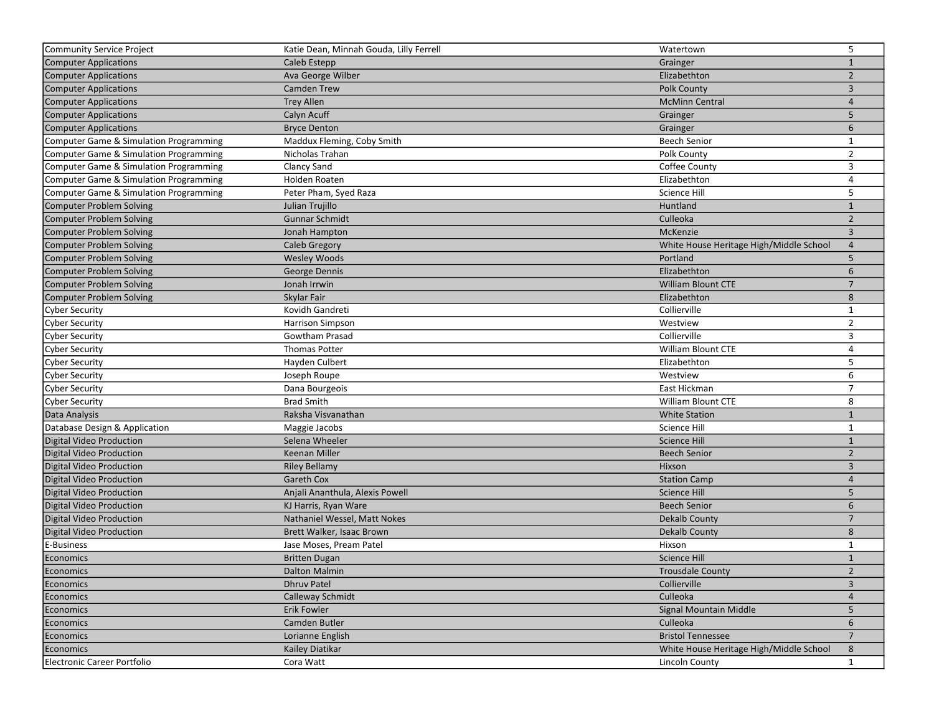| Community Service Project              | Katie Dean, Minnah Gouda, Lilly Ferrell | Watertown                               | 5               |
|----------------------------------------|-----------------------------------------|-----------------------------------------|-----------------|
| <b>Computer Applications</b>           | Caleb Estepp                            | Grainger                                | $\mathbf{1}$    |
| <b>Computer Applications</b>           | Ava George Wilber                       | Elizabethton                            | $\overline{2}$  |
| <b>Computer Applications</b>           | <b>Camden Trew</b>                      | Polk County                             | $\mathbf{3}$    |
| <b>Computer Applications</b>           | <b>Trey Allen</b>                       | <b>McMinn Central</b>                   | $\overline{4}$  |
| <b>Computer Applications</b>           | Calyn Acuff                             | Grainger                                | 5               |
| <b>Computer Applications</b>           | <b>Bryce Denton</b>                     | Grainger                                | 6               |
| Computer Game & Simulation Programming | Maddux Fleming, Coby Smith              | <b>Beech Senior</b>                     | $\mathbf{1}$    |
| Computer Game & Simulation Programming | Nicholas Trahan                         | Polk County                             | $\overline{2}$  |
| Computer Game & Simulation Programming | <b>Clancy Sand</b>                      | Coffee County                           | 3               |
| Computer Game & Simulation Programming | Holden Roaten                           | Elizabethton                            | 4               |
| Computer Game & Simulation Programming | Peter Pham, Syed Raza                   | Science Hill                            | 5               |
| <b>Computer Problem Solving</b>        | Julian Trujillo                         | Huntland                                | $\mathbf{1}$    |
| Computer Problem Solving               | Gunnar Schmidt                          | Culleoka                                | $\overline{2}$  |
| <b>Computer Problem Solving</b>        | Jonah Hampton                           | McKenzie                                | $\mathbf{3}$    |
| Computer Problem Solving               | Caleb Gregory                           | White House Heritage High/Middle School | $\overline{4}$  |
| Computer Problem Solving               | <b>Wesley Woods</b>                     | Portland                                | 5               |
| <b>Computer Problem Solving</b>        | George Dennis                           | Elizabethton                            | 6               |
| Computer Problem Solving               | Jonah Irrwin                            | <b>William Blount CTE</b>               | $\overline{7}$  |
| <b>Computer Problem Solving</b>        | Skylar Fair                             | Elizabethton                            | 8               |
| <b>Cyber Security</b>                  | Kovidh Gandreti                         | Collierville                            | $\mathbf{1}$    |
| <b>Cyber Security</b>                  | <b>Harrison Simpson</b>                 | Westview                                | $\overline{2}$  |
| <b>Cyber Security</b>                  | Gowtham Prasad                          | Collierville                            | 3               |
| <b>Cyber Security</b>                  | <b>Thomas Potter</b>                    | William Blount CTE                      | 4               |
| <b>Cyber Security</b>                  | Hayden Culbert                          | Elizabethton                            | 5               |
| <b>Cyber Security</b>                  | Joseph Roupe                            | Westview                                | 6               |
| <b>Cyber Security</b>                  | Dana Bourgeois                          | East Hickman                            | $\overline{7}$  |
| Cyber Security                         | <b>Brad Smith</b>                       | William Blount CTE                      | 8               |
| Data Analysis                          | Raksha Visvanathan                      | <b>White Station</b>                    | $\mathbf{1}$    |
| Database Design & Application          | Maggie Jacobs                           | Science Hill                            | $\mathbf{1}$    |
| Digital Video Production               | Selena Wheeler                          | <b>Science Hill</b>                     | $\mathbf{1}$    |
| Digital Video Production               | Keenan Miller                           | <b>Beech Senior</b>                     | $\overline{2}$  |
| Digital Video Production               | <b>Riley Bellamy</b>                    | Hixson                                  | $\overline{3}$  |
| Digital Video Production               | <b>Gareth Cox</b>                       | <b>Station Camp</b>                     | $\overline{4}$  |
| Digital Video Production               | Anjali Ananthula, Alexis Powell         | <b>Science Hill</b>                     | 5               |
| Digital Video Production               | KJ Harris, Ryan Ware                    | <b>Beech Senior</b>                     | 6               |
| Digital Video Production               | Nathaniel Wessel, Matt Nokes            | Dekalb County                           | $7\overline{ }$ |
| Digital Video Production               | Brett Walker, Isaac Brown               | <b>Dekalb County</b>                    | 8               |
| E-Business                             | Jase Moses, Pream Patel                 | Hixson                                  | $\mathbf{1}$    |
| Economics                              | <b>Britten Dugan</b>                    | <b>Science Hill</b>                     | $\mathbf{1}$    |
| Economics                              | Dalton Malmin                           | <b>Trousdale County</b>                 | $\overline{2}$  |
| Economics                              | Dhruv Patel                             | Collierville                            | $\overline{3}$  |
| Economics                              | Calleway Schmidt                        | Culleoka                                | 4               |
| Economics                              | Erik Fowler                             | Signal Mountain Middle                  | 5 <sup>1</sup>  |
| Economics                              | Camden Butler                           | Culleoka                                | 6               |
| Economics                              | Lorianne English                        | <b>Bristol Tennessee</b>                | $7^{\circ}$     |
| Economics                              | Kailey Diatikar                         | White House Heritage High/Middle School | 8               |
| Electronic Career Portfolio            | Cora Watt                               | Lincoln County                          | $\mathbf{1}$    |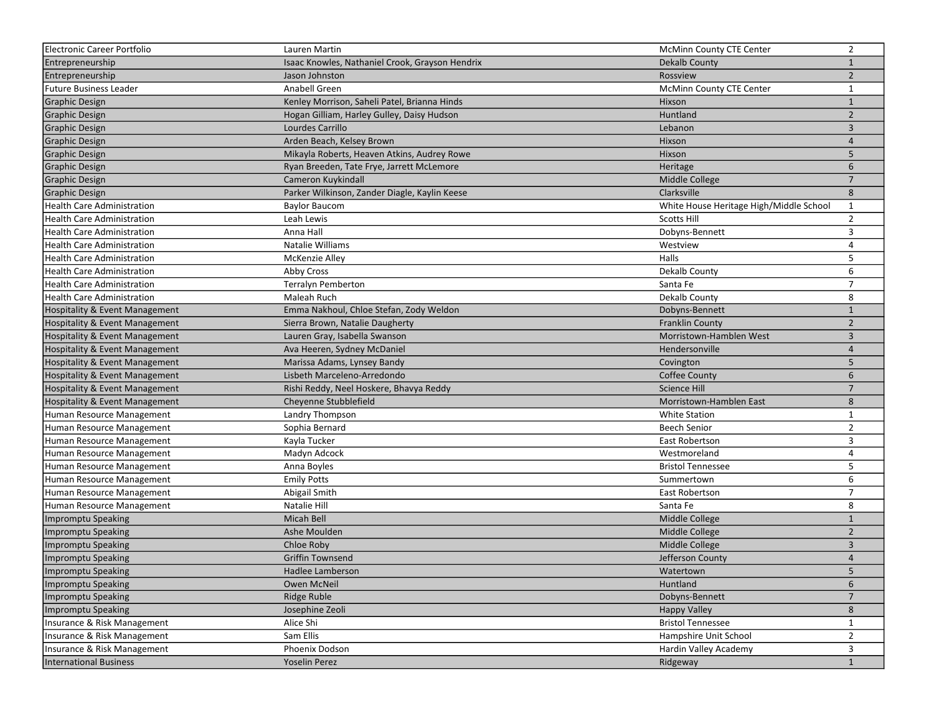| Electronic Career Portfolio               | Lauren Martin                                   | <b>McMinn County CTE Center</b>         | $\overline{2}$  |
|-------------------------------------------|-------------------------------------------------|-----------------------------------------|-----------------|
| Entrepreneurship                          | Isaac Knowles, Nathaniel Crook, Grayson Hendrix | <b>Dekalb County</b>                    | $\mathbf{1}$    |
| Entrepreneurship                          | Jason Johnston                                  | Rossview                                | $\overline{2}$  |
| <b>Future Business Leader</b>             | Anabell Green                                   | McMinn County CTE Center                | $\mathbf{1}$    |
| <b>Graphic Design</b>                     | Kenley Morrison, Saheli Patel, Brianna Hinds    | Hixson                                  | $\mathbf{1}$    |
| <b>Graphic Design</b>                     | Hogan Gilliam, Harley Gulley, Daisy Hudson      | Huntland                                | $\overline{2}$  |
| <b>Graphic Design</b>                     | Lourdes Carrillo                                | Lebanon                                 | $\overline{3}$  |
| <b>Graphic Design</b>                     | Arden Beach, Kelsey Brown                       | Hixson                                  | $\overline{4}$  |
| <b>Graphic Design</b>                     | Mikayla Roberts, Heaven Atkins, Audrey Rowe     | Hixson                                  | 5               |
| <b>Graphic Design</b>                     | Ryan Breeden, Tate Frye, Jarrett McLemore       | Heritage                                | 6               |
| <b>Graphic Design</b>                     | Cameron Kuykindall                              | Middle College                          | $\overline{7}$  |
| <b>Graphic Design</b>                     | Parker Wilkinson, Zander Diagle, Kaylin Keese   | Clarksville                             | 8               |
| <b>Health Care Administration</b>         | Baylor Baucom                                   | White House Heritage High/Middle School | $\mathbf{1}$    |
| <b>Health Care Administration</b>         | Leah Lewis                                      | <b>Scotts Hill</b>                      | $\overline{2}$  |
| Health Care Administration                | Anna Hall                                       | Dobyns-Bennett                          | 3               |
| Health Care Administration                | Natalie Williams                                | Westview                                | 4               |
| <b>Health Care Administration</b>         | <b>McKenzie Alley</b>                           | Halls                                   | 5               |
| <b>Health Care Administration</b>         | Abby Cross                                      | Dekalb County                           | 6               |
| <b>Health Care Administration</b>         | Terralyn Pemberton                              | Santa Fe                                | $\overline{7}$  |
| <b>Health Care Administration</b>         | Maleah Ruch                                     | Dekalb County                           | 8               |
| <b>Hospitality &amp; Event Management</b> | Emma Nakhoul, Chloe Stefan, Zody Weldon         | Dobyns-Bennett                          | $\mathbf{1}$    |
| <b>Hospitality &amp; Event Management</b> | Sierra Brown, Natalie Daugherty                 | <b>Franklin County</b>                  | $\overline{2}$  |
| Hospitality & Event Management            | Lauren Gray, Isabella Swanson                   | Morristown-Hamblen West                 | $\overline{3}$  |
| Hospitality & Event Management            | Ava Heeren, Sydney McDaniel                     | Hendersonville                          | 4               |
| Hospitality & Event Management            | Marissa Adams, Lynsey Bandy                     | Covington                               | 5               |
| Hospitality & Event Management            | Lisbeth Marceleno-Arredondo                     | <b>Coffee County</b>                    | 6               |
| Hospitality & Event Management            | Rishi Reddy, Neel Hoskere, Bhavya Reddy         | <b>Science Hill</b>                     | $\overline{7}$  |
| Hospitality & Event Management            | Cheyenne Stubblefield                           | Morristown-Hamblen East                 | 8               |
| Human Resource Management                 | Landry Thompson                                 | <b>White Station</b>                    | $\mathbf{1}$    |
| Human Resource Management                 | Sophia Bernard                                  | <b>Beech Senior</b>                     | $\overline{2}$  |
| Human Resource Management                 | Kayla Tucker                                    | East Robertson                          | 3               |
| Human Resource Management                 | Madyn Adcock                                    | Westmoreland                            | 4               |
| Human Resource Management                 | Anna Boyles                                     | <b>Bristol Tennessee</b>                | 5               |
| Human Resource Management                 | <b>Emily Potts</b>                              | Summertown                              | 6               |
| Human Resource Management                 | Abigail Smith                                   | East Robertson                          | $\overline{7}$  |
| Human Resource Management                 | Natalie Hill                                    | Santa Fe                                | 8               |
| Impromptu Speaking                        | Micah Bell                                      | Middle College                          | $\mathbf{1}$    |
| Impromptu Speaking                        | Ashe Moulden                                    | Middle College                          | $\overline{2}$  |
| Impromptu Speaking                        | Chloe Roby                                      | Middle College                          | 3               |
| Impromptu Speaking                        | <b>Griffin Townsend</b>                         | Jefferson County                        | $\overline{4}$  |
| <b>Impromptu Speaking</b>                 | Hadlee Lamberson                                | Watertown                               | 5               |
| Impromptu Speaking                        | Owen McNeil                                     | Huntland                                | 6               |
| Impromptu Speaking                        | <b>Ridge Ruble</b>                              | Dobyns-Bennett                          | $7\overline{ }$ |
| Impromptu Speaking                        | Josephine Zeoli                                 | <b>Happy Valley</b>                     | 8               |
| Insurance & Risk Management               | Alice Shi                                       | <b>Bristol Tennessee</b>                | $\mathbf{1}$    |
| Insurance & Risk Management               | Sam Ellis                                       | Hampshire Unit School                   | $\overline{2}$  |
| Insurance & Risk Management               | Phoenix Dodson                                  | Hardin Valley Academy                   | 3               |
| International Business                    | <b>Yoselin Perez</b>                            | Ridgeway                                | 1               |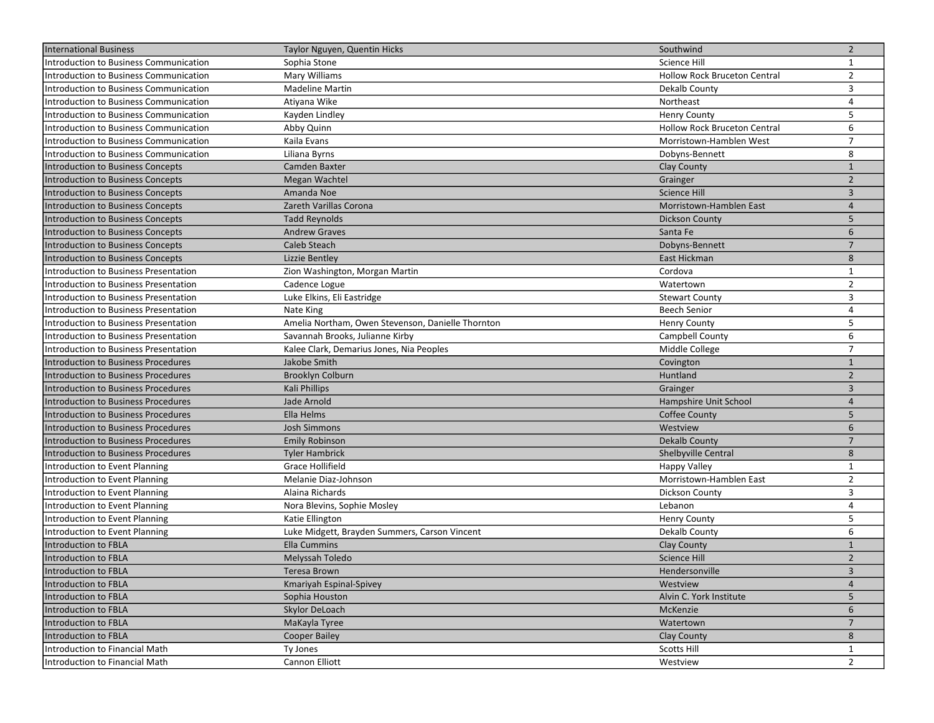| International Business                 | Taylor Nguyen, Quentin Hicks                      | Southwind                           | $\overline{2}$          |
|----------------------------------------|---------------------------------------------------|-------------------------------------|-------------------------|
| Introduction to Business Communication | Sophia Stone                                      | Science Hill                        | $\mathbf{1}$            |
| Introduction to Business Communication | Mary Williams                                     | <b>Hollow Rock Bruceton Central</b> | $\overline{2}$          |
| Introduction to Business Communication | <b>Madeline Martin</b>                            | Dekalb County                       | 3                       |
| Introduction to Business Communication | Atiyana Wike                                      | Northeast                           | 4                       |
| Introduction to Business Communication | Kayden Lindley                                    | <b>Henry County</b>                 | 5                       |
| Introduction to Business Communication | Abby Quinn                                        | <b>Hollow Rock Bruceton Central</b> | 6                       |
| Introduction to Business Communication | Kaila Evans                                       | Morristown-Hamblen West             | $\overline{7}$          |
| Introduction to Business Communication | Liliana Byrns                                     | Dobyns-Bennett                      | 8                       |
| Introduction to Business Concepts      | Camden Baxter                                     | <b>Clay County</b>                  | $\mathbf{1}$            |
| Introduction to Business Concepts      | Megan Wachtel                                     | Grainger                            | $\overline{2}$          |
| Introduction to Business Concepts      | Amanda Noe                                        | <b>Science Hill</b>                 | 3                       |
| Introduction to Business Concepts      | Zareth Varillas Corona                            | Morristown-Hamblen East             | $\overline{4}$          |
| Introduction to Business Concepts      | <b>Tadd Reynolds</b>                              | Dickson County                      | 5                       |
| Introduction to Business Concepts      | <b>Andrew Graves</b>                              | Santa Fe                            | 6                       |
| Introduction to Business Concepts      | Caleb Steach                                      | Dobyns-Bennett                      | $\overline{7}$          |
| Introduction to Business Concepts      | Lizzie Bentley                                    | East Hickman                        | 8                       |
| Introduction to Business Presentation  | Zion Washington, Morgan Martin                    | Cordova                             | $\mathbf{1}$            |
| Introduction to Business Presentation  | Cadence Logue                                     | Watertown                           | $\overline{2}$          |
| Introduction to Business Presentation  | Luke Elkins, Eli Eastridge                        | <b>Stewart County</b>               | 3                       |
| Introduction to Business Presentation  | Nate King                                         | <b>Beech Senior</b>                 | 4                       |
| Introduction to Business Presentation  | Amelia Northam, Owen Stevenson, Danielle Thornton | <b>Henry County</b>                 | 5                       |
| Introduction to Business Presentation  | Savannah Brooks, Julianne Kirby                   | Campbell County                     | 6                       |
| Introduction to Business Presentation  | Kalee Clark, Demarius Jones, Nia Peoples          | Middle College                      | $\overline{7}$          |
| Introduction to Business Procedures    | Jakobe Smith                                      | Covington                           | $\mathbf{1}$            |
| Introduction to Business Procedures    | <b>Brooklyn Colburn</b>                           | Huntland                            | $\overline{2}$          |
| Introduction to Business Procedures    | Kali Phillips                                     | Grainger                            | 3                       |
| Introduction to Business Procedures    | Jade Arnold                                       | Hampshire Unit School               | $\overline{4}$          |
| Introduction to Business Procedures    | Ella Helms                                        | <b>Coffee County</b>                | 5                       |
| Introduction to Business Procedures    | <b>Josh Simmons</b>                               | Westview                            | 6                       |
| Introduction to Business Procedures    | <b>Emily Robinson</b>                             | Dekalb County                       | $\overline{7}$          |
| Introduction to Business Procedures    | <b>Tyler Hambrick</b>                             | <b>Shelbyville Central</b>          | 8                       |
| Introduction to Event Planning         | Grace Hollifield                                  | <b>Happy Valley</b>                 | $\mathbf{1}$            |
| Introduction to Event Planning         | Melanie Diaz-Johnson                              | Morristown-Hamblen East             | $\overline{2}$          |
| Introduction to Event Planning         | Alaina Richards                                   | Dickson County                      | 3                       |
| Introduction to Event Planning         | Nora Blevins, Sophie Mosley                       | Lebanon                             | 4                       |
| Introduction to Event Planning         | Katie Ellington                                   | <b>Henry County</b>                 | 5                       |
| Introduction to Event Planning         | Luke Midgett, Brayden Summers, Carson Vincent     | Dekalb County                       | 6                       |
| Introduction to FBLA                   | <b>Ella Cummins</b>                               | <b>Clay County</b>                  | $\mathbf{1}$            |
| Introduction to FBLA                   | Melyssah Toledo                                   | Science Hill                        | $\overline{2}$          |
| Introduction to FBLA                   | Teresa Brown                                      | Hendersonville                      | $\overline{\mathbf{3}}$ |
| Introduction to FBLA                   | Kmariyah Espinal-Spivey                           | Westview                            | 4                       |
| Introduction to FBLA                   | Sophia Houston                                    | Alvin C. York Institute             | 5                       |
| Introduction to FBLA                   | Skylor DeLoach                                    | McKenzie                            | 6                       |
| Introduction to FBLA                   | MaKayla Tyree                                     | Watertown                           | $7\overline{ }$         |
| Introduction to FBLA                   | <b>Cooper Bailey</b>                              | <b>Clay County</b>                  | 8                       |
| Introduction to Financial Math         | Ty Jones                                          | <b>Scotts Hill</b>                  | $\mathbf{1}$            |
| Introduction to Financial Math         | Cannon Elliott                                    | Westview                            | $\overline{2}$          |
|                                        |                                                   |                                     |                         |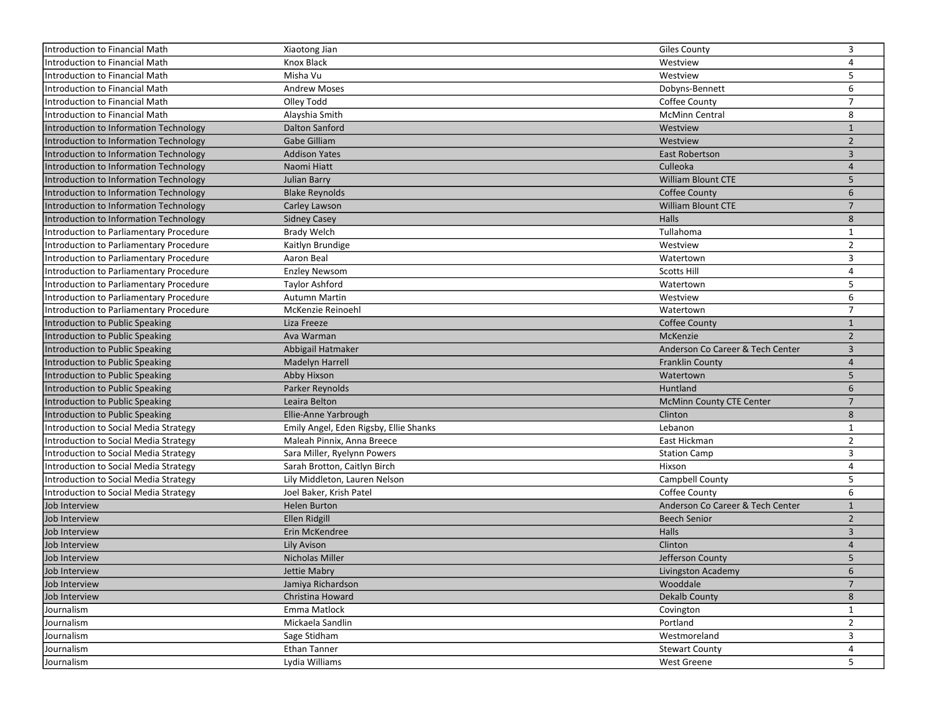| Introduction to Financial Math                 | Xiaotong Jian                          | <b>Giles County</b>              | 3              |
|------------------------------------------------|----------------------------------------|----------------------------------|----------------|
| Introduction to Financial Math                 | Knox Black                             | Westview                         | $\overline{4}$ |
| Introduction to Financial Math                 | Misha Vu                               | Westview                         | 5              |
| Introduction to Financial Math                 | <b>Andrew Moses</b>                    | Dobyns-Bennett                   | 6              |
| Introduction to Financial Math                 | Olley Todd                             | Coffee County                    | $\overline{7}$ |
| Introduction to Financial Math                 | Alayshia Smith                         | <b>McMinn Central</b>            | 8              |
| Introduction to Information Technology         | Dalton Sanford                         | Westview                         | $\mathbf{1}$   |
| Introduction to Information Technology         | Gabe Gilliam                           | Westview                         | $\overline{2}$ |
| Introduction to Information Technology         | <b>Addison Yates</b>                   | <b>East Robertson</b>            | 3              |
| Introduction to Information Technology         | Naomi Hiatt                            | Culleoka                         | $\overline{4}$ |
| Introduction to Information Technology         | Julian Barry                           | William Blount CTE               | 5              |
| Introduction to Information Technology         | <b>Blake Reynolds</b>                  | <b>Coffee County</b>             | 6              |
| Introduction to Information Technology         | Carley Lawson                          | William Blount CTE               | $\overline{7}$ |
| Introduction to Information Technology         | <b>Sidney Casey</b>                    | Halls                            | 8              |
| <b>Introduction to Parliamentary Procedure</b> | <b>Brady Welch</b>                     | Tullahoma                        | $\mathbf{1}$   |
| Introduction to Parliamentary Procedure        | Kaitlyn Brundige                       | Westview                         | $\overline{2}$ |
| Introduction to Parliamentary Procedure        | Aaron Beal                             | Watertown                        | 3              |
| Introduction to Parliamentary Procedure        | <b>Enzley Newsom</b>                   | <b>Scotts Hill</b>               | 4              |
| Introduction to Parliamentary Procedure        | Taylor Ashford                         | Watertown                        | 5              |
| Introduction to Parliamentary Procedure        | <b>Autumn Martin</b>                   | Westview                         | 6              |
| Introduction to Parliamentary Procedure        | McKenzie Reinoehl                      | Watertown                        | $\overline{7}$ |
| Introduction to Public Speaking                | Liza Freeze                            | <b>Coffee County</b>             | $\mathbf{1}$   |
| Introduction to Public Speaking                | Ava Warman                             | <b>McKenzie</b>                  | $\overline{2}$ |
| Introduction to Public Speaking                | Abbigail Hatmaker                      | Anderson Co Career & Tech Center | 3              |
| Introduction to Public Speaking                | Madelyn Harrell                        | <b>Franklin County</b>           | $\overline{4}$ |
| Introduction to Public Speaking                | Abby Hixson                            | Watertown                        | 5              |
| Introduction to Public Speaking                | Parker Reynolds                        | Huntland                         | 6              |
| Introduction to Public Speaking                | Leaira Belton                          | <b>McMinn County CTE Center</b>  | $\overline{7}$ |
| Introduction to Public Speaking                | Ellie-Anne Yarbrough                   | Clinton                          | 8              |
| Introduction to Social Media Strategy          | Emily Angel, Eden Rigsby, Ellie Shanks | Lebanon                          | $\mathbf{1}$   |
| Introduction to Social Media Strategy          | Maleah Pinnix, Anna Breece             | East Hickman                     | $\overline{2}$ |
| Introduction to Social Media Strategy          | Sara Miller, Ryelynn Powers            | <b>Station Camp</b>              | 3              |
| Introduction to Social Media Strategy          | Sarah Brotton, Caitlyn Birch           | Hixson                           | 4              |
| Introduction to Social Media Strategy          | Lily Middleton, Lauren Nelson          | Campbell County                  | 5              |
| Introduction to Social Media Strategy          | Joel Baker, Krish Patel                | Coffee County                    | 6              |
| Job Interview                                  | <b>Helen Burton</b>                    | Anderson Co Career & Tech Center | $\mathbf{1}$   |
| Job Interview                                  | Ellen Ridgill                          | <b>Beech Senior</b>              | $\overline{2}$ |
| Job Interview                                  | Erin McKendree                         | <b>Halls</b>                     | 3              |
| Job Interview                                  | <b>Lily Avison</b>                     | Clinton                          | $\overline{4}$ |
| Job Interview                                  | Nicholas Miller                        | Jefferson County                 | 5              |
| Job Interview                                  | Jettie Mabry                           | Livingston Academy               | 6              |
| Job Interview                                  | Jamiya Richardson                      | Wooddale                         | $\overline{7}$ |
| Job Interview                                  | Christina Howard                       | <b>Dekalb County</b>             | 8              |
| Journalism                                     | Emma Matlock                           | Covington                        | $\mathbf{1}$   |
| Journalism                                     | Mickaela Sandlin                       | Portland                         | $\overline{2}$ |
| Journalism                                     | Sage Stidham                           | Westmoreland                     | 3              |
| Journalism                                     | Ethan Tanner                           | <b>Stewart County</b>            | 4              |
| Journalism                                     | Lydia Williams                         | West Greene                      | 5              |
|                                                |                                        |                                  |                |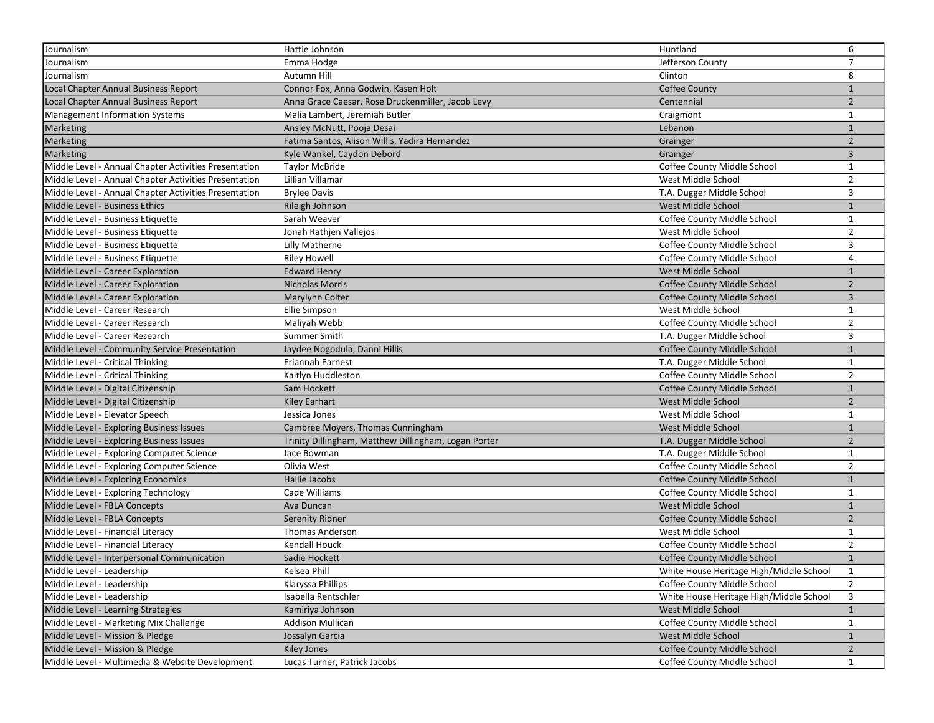| Journalism                                            | Hattie Johnson                                       | Huntland                                | 6              |
|-------------------------------------------------------|------------------------------------------------------|-----------------------------------------|----------------|
| Journalism                                            | Emma Hodge                                           | Jefferson County                        | $\overline{7}$ |
| Journalism                                            | Autumn Hill                                          | Clinton                                 | 8              |
| Local Chapter Annual Business Report                  | Connor Fox, Anna Godwin, Kasen Holt                  | Coffee County                           | $\mathbf{1}$   |
| Local Chapter Annual Business Report                  | Anna Grace Caesar, Rose Druckenmiller, Jacob Levy    | Centennial                              | $\overline{2}$ |
| <b>Management Information Systems</b>                 | Malia Lambert, Jeremiah Butler                       | Craigmont                               | $\mathbf{1}$   |
| Marketing                                             | Ansley McNutt, Pooja Desai                           | Lebanon                                 | $\mathbf{1}$   |
| Marketing                                             | Fatima Santos, Alison Willis, Yadira Hernandez       | Grainger                                | $\overline{2}$ |
| Marketing                                             | Kyle Wankel, Caydon Debord                           | Grainger                                | $\overline{3}$ |
| Middle Level - Annual Chapter Activities Presentation | <b>Taylor McBride</b>                                | Coffee County Middle School             | $\mathbf{1}$   |
| Middle Level - Annual Chapter Activities Presentation | Lillian Villamar                                     | West Middle School                      | $\overline{2}$ |
| Middle Level - Annual Chapter Activities Presentation | <b>Brylee Davis</b>                                  | T.A. Dugger Middle School               | 3              |
| Middle Level - Business Ethics                        | Rileigh Johnson                                      | West Middle School                      | $\mathbf{1}$   |
| Middle Level - Business Etiquette                     | Sarah Weaver                                         | Coffee County Middle School             | $\mathbf{1}$   |
| Middle Level - Business Etiquette                     | Jonah Rathjen Vallejos                               | West Middle School                      | $\overline{2}$ |
| Middle Level - Business Etiquette                     | Lilly Matherne                                       | Coffee County Middle School             | 3              |
| Middle Level - Business Etiquette                     | <b>Riley Howell</b>                                  | Coffee County Middle School             | 4              |
| Middle Level - Career Exploration                     | <b>Edward Henry</b>                                  | West Middle School                      | $\mathbf{1}$   |
| Middle Level - Career Exploration                     | <b>Nicholas Morris</b>                               | Coffee County Middle School             | $\overline{2}$ |
| Middle Level - Career Exploration                     | Marylynn Colter                                      | Coffee County Middle School             | $\overline{3}$ |
| Middle Level - Career Research                        | Ellie Simpson                                        | West Middle School                      | $\mathbf{1}$   |
| Middle Level - Career Research                        | Maliyah Webb                                         | Coffee County Middle School             | $\overline{2}$ |
| Middle Level - Career Research                        | Summer Smith                                         | T.A. Dugger Middle School               | 3              |
| Middle Level - Community Service Presentation         | Jaydee Nogodula, Danni Hillis                        | Coffee County Middle School             | $\mathbf{1}$   |
| Middle Level - Critical Thinking                      | Eriannah Earnest                                     | T.A. Dugger Middle School               | $\mathbf{1}$   |
| Middle Level - Critical Thinking                      | Kaitlyn Huddleston                                   | Coffee County Middle School             | $\overline{2}$ |
| Middle Level - Digital Citizenship                    | Sam Hockett                                          | Coffee County Middle School             | $\mathbf{1}$   |
| Middle Level - Digital Citizenship                    | <b>Kiley Earhart</b>                                 | West Middle School                      | $\overline{2}$ |
| Middle Level - Elevator Speech                        | Jessica Jones                                        | West Middle School                      | $\mathbf{1}$   |
| Middle Level - Exploring Business Issues              | Cambree Moyers, Thomas Cunningham                    | West Middle School                      | $\mathbf{1}$   |
| Middle Level - Exploring Business Issues              | Trinity Dillingham, Matthew Dillingham, Logan Porter | T.A. Dugger Middle School               | $\overline{2}$ |
| Middle Level - Exploring Computer Science             | Jace Bowman                                          | T.A. Dugger Middle School               | $\mathbf{1}$   |
| Middle Level - Exploring Computer Science             | Olivia West                                          | Coffee County Middle School             | $\overline{2}$ |
| Middle Level - Exploring Economics                    | Hallie Jacobs                                        | Coffee County Middle School             | $\mathbf{1}$   |
| Middle Level - Exploring Technology                   | Cade Williams                                        | Coffee County Middle School             | $\mathbf{1}$   |
| Middle Level - FBLA Concepts                          | Ava Duncan                                           | West Middle School                      | $\mathbf{1}$   |
| Middle Level - FBLA Concepts                          | <b>Serenity Ridner</b>                               | Coffee County Middle School             | $\overline{2}$ |
| Middle Level - Financial Literacy                     | <b>Thomas Anderson</b>                               | West Middle School                      | 1              |
| Middle Level - Financial Literacy                     | Kendall Houck                                        | Coffee County Middle School             | $\overline{2}$ |
| Middle Level - Interpersonal Communication            | Sadie Hockett                                        | Coffee County Middle School             | $\mathbf{1}$   |
| Middle Level - Leadership                             | Kelsea Phill                                         | White House Heritage High/Middle School | $\mathbf{1}$   |
| Middle Level - Leadership                             | Klaryssa Phillips                                    | Coffee County Middle School             | $\overline{2}$ |
| Middle Level - Leadership                             | Isabella Rentschler                                  | White House Heritage High/Middle School | 3              |
| Middle Level - Learning Strategies                    | Kamiriya Johnson                                     | West Middle School                      | $\mathbf{1}$   |
| Middle Level - Marketing Mix Challenge                | <b>Addison Mullican</b>                              | Coffee County Middle School             | $\mathbf{1}$   |
| Middle Level - Mission & Pledge                       | Jossalyn Garcia                                      | West Middle School                      | $\mathbf{1}$   |
| Middle Level - Mission & Pledge                       | <b>Kiley Jones</b>                                   | Coffee County Middle School             | $\overline{2}$ |
| Middle Level - Multimedia & Website Development       | Lucas Turner, Patrick Jacobs                         | Coffee County Middle School             | $\mathbf{1}$   |
|                                                       |                                                      |                                         |                |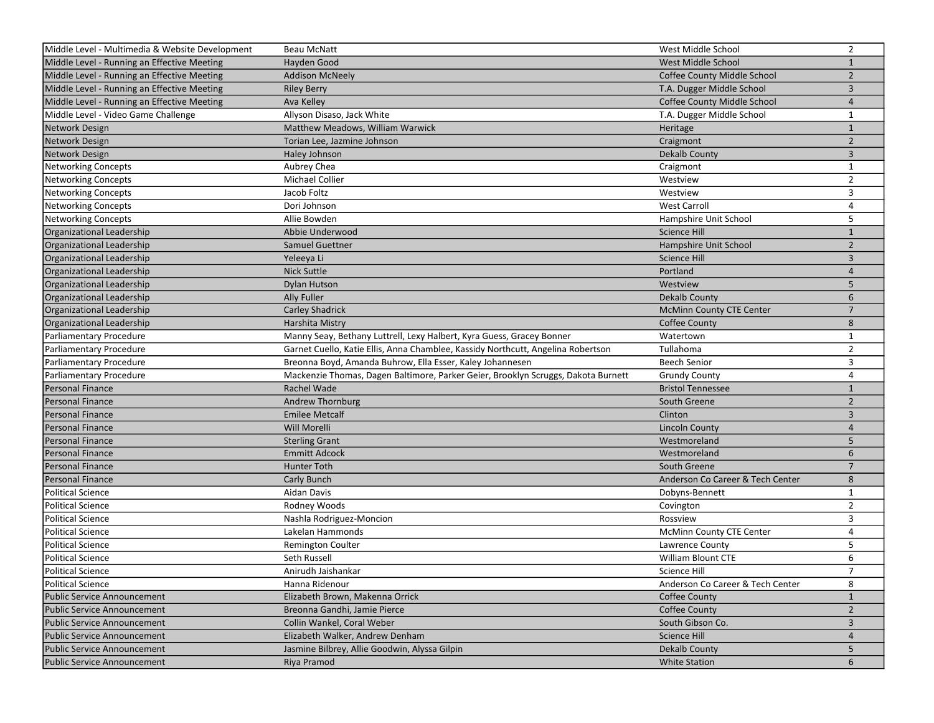| Middle Level - Multimedia & Website Development | Beau McNatt                                                                       | West Middle School               | $\overline{2}$ |
|-------------------------------------------------|-----------------------------------------------------------------------------------|----------------------------------|----------------|
| Middle Level - Running an Effective Meeting     | Hayden Good                                                                       | West Middle School               | $\mathbf{1}$   |
| Middle Level - Running an Effective Meeting     | <b>Addison McNeely</b>                                                            | Coffee County Middle School      | $\overline{2}$ |
| Middle Level - Running an Effective Meeting     | <b>Riley Berry</b>                                                                | T.A. Dugger Middle School        | $\overline{3}$ |
| Middle Level - Running an Effective Meeting     | Ava Kelley                                                                        | Coffee County Middle School      | 4              |
| Middle Level - Video Game Challenge             | Allyson Disaso, Jack White                                                        | T.A. Dugger Middle School        | 1              |
| Network Design                                  | Matthew Meadows, William Warwick                                                  | Heritage                         | $1\,$          |
| Network Design                                  | Torian Lee, Jazmine Johnson                                                       | Craigmont                        | $\overline{2}$ |
| Network Design                                  | Haley Johnson                                                                     | <b>Dekalb County</b>             | 3              |
| Networking Concepts                             | Aubrey Chea                                                                       | Craigmont                        | $\mathbf{1}$   |
| Networking Concepts                             | Michael Collier                                                                   | Westview                         | $\overline{2}$ |
| <b>Networking Concepts</b>                      | Jacob Foltz                                                                       | Westview                         | 3              |
| <b>Networking Concepts</b>                      | Dori Johnson                                                                      | <b>West Carroll</b>              | $\overline{4}$ |
| <b>Networking Concepts</b>                      | Allie Bowden                                                                      | Hampshire Unit School            | 5              |
| Organizational Leadership                       | Abbie Underwood                                                                   | <b>Science Hill</b>              | $\mathbf{1}$   |
| Organizational Leadership                       | Samuel Guettner                                                                   | Hampshire Unit School            | $\overline{2}$ |
| Organizational Leadership                       | Yeleeya Li                                                                        | <b>Science Hill</b>              | 3              |
| Organizational Leadership                       | <b>Nick Suttle</b>                                                                | Portland                         | $\overline{4}$ |
| Organizational Leadership                       | Dylan Hutson                                                                      | Westview                         | 5              |
| Organizational Leadership                       | <b>Ally Fuller</b>                                                                | Dekalb County                    | 6              |
| Organizational Leadership                       | <b>Carley Shadrick</b>                                                            | <b>McMinn County CTE Center</b>  | $\overline{7}$ |
| Organizational Leadership                       | Harshita Mistry                                                                   | <b>Coffee County</b>             | 8              |
| Parliamentary Procedure                         | Manny Seay, Bethany Luttrell, Lexy Halbert, Kyra Guess, Gracey Bonner             | Watertown                        | $\mathbf{1}$   |
| Parliamentary Procedure                         | Garnet Cuello, Katie Ellis, Anna Chamblee, Kassidy Northcutt, Angelina Robertson  | Tullahoma                        | $\overline{2}$ |
| Parliamentary Procedure                         | Breonna Boyd, Amanda Buhrow, Ella Esser, Kaley Johannesen                         | <b>Beech Senior</b>              | 3              |
| Parliamentary Procedure                         | Mackenzie Thomas, Dagen Baltimore, Parker Geier, Brooklyn Scruggs, Dakota Burnett | <b>Grundy County</b>             | 4              |
| Personal Finance                                | Rachel Wade                                                                       | <b>Bristol Tennessee</b>         | $\mathbf{1}$   |
| Personal Finance                                | Andrew Thornburg                                                                  | South Greene                     | $\overline{2}$ |
| Personal Finance                                | <b>Emilee Metcalf</b>                                                             | Clinton                          | 3              |
| Personal Finance                                | Will Morelli                                                                      | <b>Lincoln County</b>            | 4              |
| Personal Finance                                | <b>Sterling Grant</b>                                                             | Westmoreland                     | 5              |
| Personal Finance                                | <b>Emmitt Adcock</b>                                                              | Westmoreland                     | 6              |
| Personal Finance                                | Hunter Toth                                                                       | South Greene                     | $\overline{7}$ |
| Personal Finance                                | Carly Bunch                                                                       | Anderson Co Career & Tech Center | 8              |
| Political Science                               | Aidan Davis                                                                       | Dobyns-Bennett                   | $\mathbf{1}$   |
| Political Science                               | Rodney Woods                                                                      | Covington                        | $\overline{2}$ |
| Political Science                               | Nashla Rodriguez-Moncion                                                          | Rossview                         | 3              |
| Political Science                               | Lakelan Hammonds                                                                  | McMinn County CTE Center         | 4              |
| Political Science                               | Remington Coulter                                                                 | Lawrence County                  | 5              |
| Political Science                               | Seth Russell                                                                      | <b>William Blount CTE</b>        | 6              |
| Political Science                               | Anirudh Jaishankar                                                                | Science Hill                     | $\overline{7}$ |
| Political Science                               | Hanna Ridenour                                                                    | Anderson Co Career & Tech Center | 8              |
| Public Service Announcement                     | Elizabeth Brown, Makenna Orrick                                                   | Coffee County                    | $\mathbf{1}$   |
| <b>Public Service Announcement</b>              | Breonna Gandhi, Jamie Pierce                                                      | <b>Coffee County</b>             | $\overline{2}$ |
| Public Service Announcement                     | Collin Wankel, Coral Weber                                                        | South Gibson Co.                 | 3              |
| <b>Public Service Announcement</b>              | Elizabeth Walker, Andrew Denham                                                   | Science Hill                     | $\overline{4}$ |
| <b>Public Service Announcement</b>              | Jasmine Bilbrey, Allie Goodwin, Alyssa Gilpin                                     | <b>Dekalb County</b>             | 5              |
| <b>Public Service Announcement</b>              | Riya Pramod                                                                       | <b>White Station</b>             | 6              |
|                                                 |                                                                                   |                                  |                |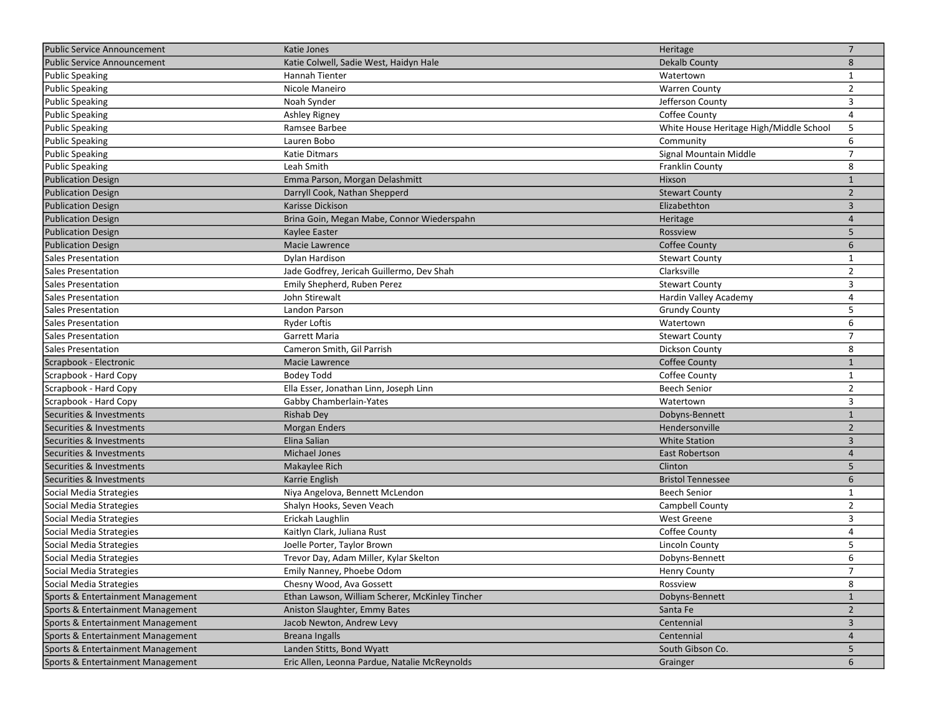| <b>Public Service Announcement</b> | Katie Jones                                     | Heritage                                | $\overline{7}$ |
|------------------------------------|-------------------------------------------------|-----------------------------------------|----------------|
| <b>Public Service Announcement</b> | Katie Colwell, Sadie West, Haidyn Hale          | <b>Dekalb County</b>                    | 8              |
| Public Speaking                    | Hannah Tienter                                  | Watertown                               | $\mathbf{1}$   |
| Public Speaking                    | Nicole Maneiro                                  | <b>Warren County</b>                    | $\overline{2}$ |
| Public Speaking                    | Noah Synder                                     | Jefferson County                        | 3              |
| Public Speaking                    | Ashley Rigney                                   | Coffee County                           | 4              |
| Public Speaking                    | Ramsee Barbee                                   | White House Heritage High/Middle School | 5              |
| Public Speaking                    | Lauren Bobo                                     | Community                               | 6              |
| Public Speaking                    | Katie Ditmars                                   | Signal Mountain Middle                  | $\overline{7}$ |
| Public Speaking                    | Leah Smith                                      | Franklin County                         | 8              |
| <b>Publication Design</b>          | Emma Parson, Morgan Delashmitt                  | Hixson                                  | $\mathbf{1}$   |
| <b>Publication Design</b>          | Darryll Cook, Nathan Shepperd                   | <b>Stewart County</b>                   | $\overline{2}$ |
| <b>Publication Design</b>          | Karisse Dickison                                | Elizabethton                            | 3              |
| <b>Publication Design</b>          | Brina Goin, Megan Mabe, Connor Wiederspahn      | Heritage                                | $\overline{4}$ |
| <b>Publication Design</b>          | Kaylee Easter                                   | Rossview                                | 5              |
| <b>Publication Design</b>          | Macie Lawrence                                  | <b>Coffee County</b>                    | 6              |
| Sales Presentation                 | Dylan Hardison                                  | <b>Stewart County</b>                   | 1              |
| Sales Presentation                 | Jade Godfrey, Jericah Guillermo, Dev Shah       | Clarksville                             | $\overline{2}$ |
| Sales Presentation                 | Emily Shepherd, Ruben Perez                     | <b>Stewart County</b>                   | 3              |
| <b>Sales Presentation</b>          | John Stirewalt                                  | Hardin Valley Academy                   | $\overline{4}$ |
| Sales Presentation                 | Landon Parson                                   | <b>Grundy County</b>                    | 5              |
| Sales Presentation                 | <b>Ryder Loftis</b>                             | Watertown                               | 6              |
| Sales Presentation                 | Garrett Maria                                   | <b>Stewart County</b>                   | $\overline{7}$ |
| Sales Presentation                 | Cameron Smith, Gil Parrish                      | <b>Dickson County</b>                   | 8              |
| Scrapbook - Electronic             | Macie Lawrence                                  | <b>Coffee County</b>                    | $\mathbf{1}$   |
| Scrapbook - Hard Copy              | Bodey Todd                                      | Coffee County                           | $\mathbf{1}$   |
| Scrapbook - Hard Copy              | Ella Esser, Jonathan Linn, Joseph Linn          | <b>Beech Senior</b>                     | $\overline{2}$ |
| Scrapbook - Hard Copy              | Gabby Chamberlain-Yates                         | Watertown                               | 3              |
| Securities & Investments           | <b>Rishab Dey</b>                               | Dobyns-Bennett                          | $\mathbf{1}$   |
| Securities & Investments           | <b>Morgan Enders</b>                            | Hendersonville                          | $\overline{2}$ |
| Securities & Investments           | Elina Salian                                    | <b>White Station</b>                    | 3              |
| Securities & Investments           | <b>Michael Jones</b>                            | East Robertson                          | 4              |
| Securities & Investments           | Makaylee Rich                                   | Clinton                                 | 5              |
| Securities & Investments           | Karrie English                                  | <b>Bristol Tennessee</b>                | 6              |
| Social Media Strategies            | Niya Angelova, Bennett McLendon                 | <b>Beech Senior</b>                     | $\mathbf{1}$   |
| Social Media Strategies            | Shalyn Hooks, Seven Veach                       | Campbell County                         | $\overline{2}$ |
| Social Media Strategies            | Erickah Laughlin                                | <b>West Greene</b>                      | 3              |
| Social Media Strategies            | Kaitlyn Clark, Juliana Rust                     | Coffee County                           | 4              |
| Social Media Strategies            | Joelle Porter, Taylor Brown                     | <b>Lincoln County</b>                   | 5              |
| Social Media Strategies            | Trevor Day, Adam Miller, Kylar Skelton          | Dobyns-Bennett                          | 6              |
| Social Media Strategies            | Emily Nanney, Phoebe Odom                       | Henry County                            | $\overline{7}$ |
| Social Media Strategies            | Chesny Wood, Ava Gossett                        | Rossview                                | 8              |
| Sports & Entertainment Management  | Ethan Lawson, William Scherer, McKinley Tincher | Dobyns-Bennett                          | $\mathbf{1}$   |
| Sports & Entertainment Management  | Aniston Slaughter, Emmy Bates                   | Santa Fe                                | $\overline{2}$ |
| Sports & Entertainment Management  | Jacob Newton, Andrew Levy                       | Centennial                              | $\mathbf{3}$   |
| Sports & Entertainment Management  | <b>Breana Ingalls</b>                           | Centennial                              | 4              |
| Sports & Entertainment Management  | Landen Stitts, Bond Wyatt                       | South Gibson Co.                        | 5              |
| Sports & Entertainment Management  | Eric Allen, Leonna Pardue, Natalie McReynolds   | Grainger                                | 6              |